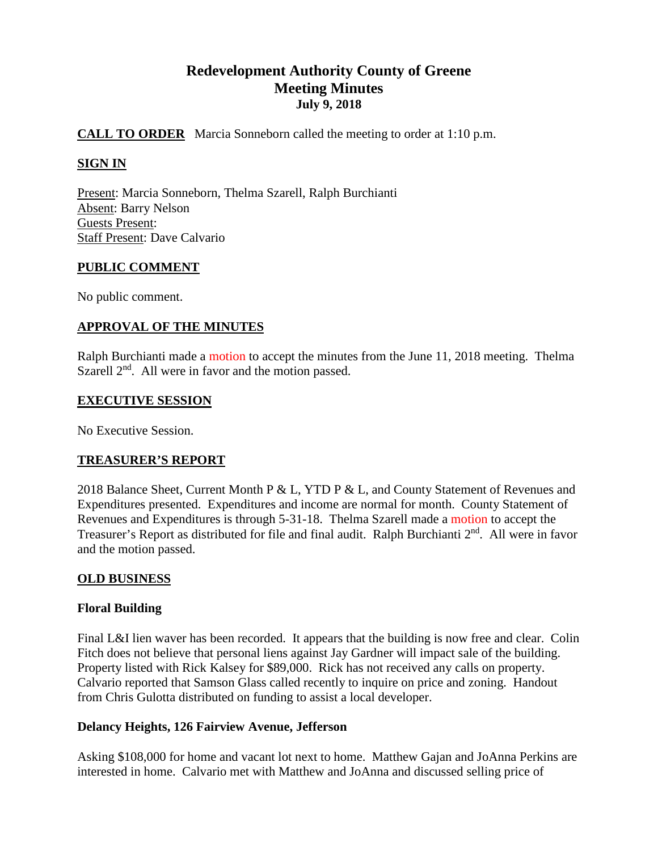# **Redevelopment Authority County of Greene Meeting Minutes July 9, 2018**

# **CALL TO ORDER** Marcia Sonneborn called the meeting to order at 1:10 p.m.

# **SIGN IN**

Present: Marcia Sonneborn, Thelma Szarell, Ralph Burchianti Absent: Barry Nelson Guests Present: Staff Present: Dave Calvario

#### **PUBLIC COMMENT**

No public comment.

## **APPROVAL OF THE MINUTES**

Ralph Burchianti made a motion to accept the minutes from the June 11, 2018 meeting. Thelma Szarell  $2<sup>nd</sup>$ . All were in favor and the motion passed.

#### **EXECUTIVE SESSION**

No Executive Session.

## **TREASURER'S REPORT**

2018 Balance Sheet, Current Month P & L, YTD P & L, and County Statement of Revenues and Expenditures presented. Expenditures and income are normal for month. County Statement of Revenues and Expenditures is through 5-31-18. Thelma Szarell made a motion to accept the Treasurer's Report as distributed for file and final audit. Ralph Burchianti 2<sup>nd</sup>. All were in favor and the motion passed.

## **OLD BUSINESS**

## **Floral Building**

Final L&I lien waver has been recorded. It appears that the building is now free and clear. Colin Fitch does not believe that personal liens against Jay Gardner will impact sale of the building. Property listed with Rick Kalsey for \$89,000. Rick has not received any calls on property. Calvario reported that Samson Glass called recently to inquire on price and zoning. Handout from Chris Gulotta distributed on funding to assist a local developer.

## **Delancy Heights, 126 Fairview Avenue, Jefferson**

Asking \$108,000 for home and vacant lot next to home. Matthew Gajan and JoAnna Perkins are interested in home. Calvario met with Matthew and JoAnna and discussed selling price of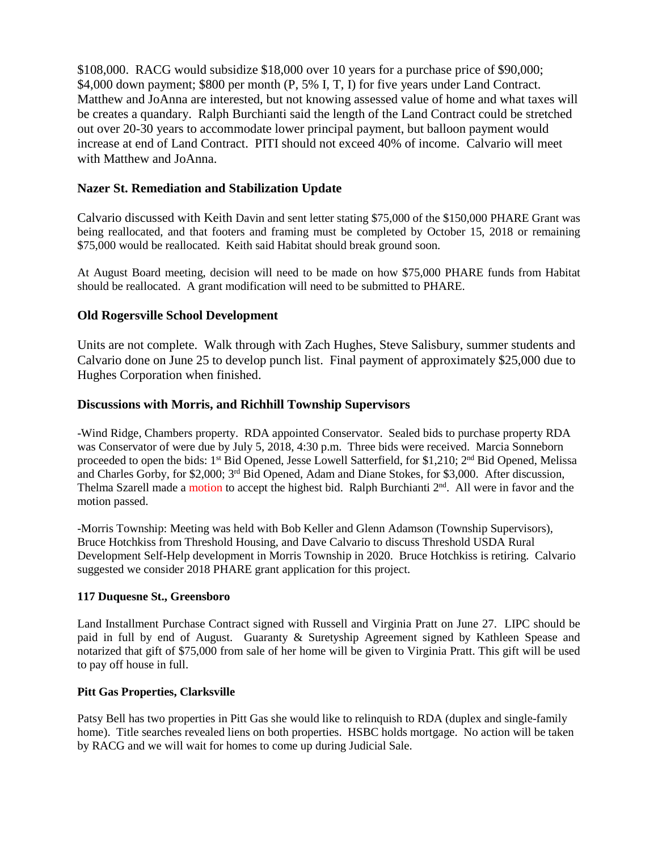\$108,000. RACG would subsidize \$18,000 over 10 years for a purchase price of \$90,000; \$4,000 down payment; \$800 per month (P, 5% I, T, I) for five years under Land Contract. Matthew and JoAnna are interested, but not knowing assessed value of home and what taxes will be creates a quandary. Ralph Burchianti said the length of the Land Contract could be stretched out over 20-30 years to accommodate lower principal payment, but balloon payment would increase at end of Land Contract. PITI should not exceed 40% of income. Calvario will meet with Matthew and JoAnna.

## **Nazer St. Remediation and Stabilization Update**

Calvario discussed with Keith Davin and sent letter stating \$75,000 of the \$150,000 PHARE Grant was being reallocated, and that footers and framing must be completed by October 15, 2018 or remaining \$75,000 would be reallocated. Keith said Habitat should break ground soon.

At August Board meeting, decision will need to be made on how \$75,000 PHARE funds from Habitat should be reallocated. A grant modification will need to be submitted to PHARE.

## **Old Rogersville School Development**

Units are not complete. Walk through with Zach Hughes, Steve Salisbury, summer students and Calvario done on June 25 to develop punch list. Final payment of approximately \$25,000 due to Hughes Corporation when finished.

## **Discussions with Morris, and Richhill Township Supervisors**

-Wind Ridge, Chambers property. RDA appointed Conservator. Sealed bids to purchase property RDA was Conservator of were due by July 5, 2018, 4:30 p.m. Three bids were received. Marcia Sonneborn proceeded to open the bids: 1<sup>st</sup> Bid Opened, Jesse Lowell Satterfield, for \$1,210; 2<sup>nd</sup> Bid Opened, Melissa and Charles Gorby, for \$2,000; 3<sup>rd</sup> Bid Opened, Adam and Diane Stokes, for \$3,000. After discussion, Thelma Szarell made a motion to accept the highest bid. Ralph Burchianti 2<sup>nd</sup>. All were in favor and the motion passed.

-Morris Township: Meeting was held with Bob Keller and Glenn Adamson (Township Supervisors), Bruce Hotchkiss from Threshold Housing, and Dave Calvario to discuss Threshold USDA Rural Development Self-Help development in Morris Township in 2020. Bruce Hotchkiss is retiring. Calvario suggested we consider 2018 PHARE grant application for this project.

## **117 Duquesne St., Greensboro**

Land Installment Purchase Contract signed with Russell and Virginia Pratt on June 27. LIPC should be paid in full by end of August. Guaranty & Suretyship Agreement signed by Kathleen Spease and notarized that gift of \$75,000 from sale of her home will be given to Virginia Pratt. This gift will be used to pay off house in full.

## **Pitt Gas Properties, Clarksville**

Patsy Bell has two properties in Pitt Gas she would like to relinquish to RDA (duplex and single-family home). Title searches revealed liens on both properties. HSBC holds mortgage. No action will be taken by RACG and we will wait for homes to come up during Judicial Sale.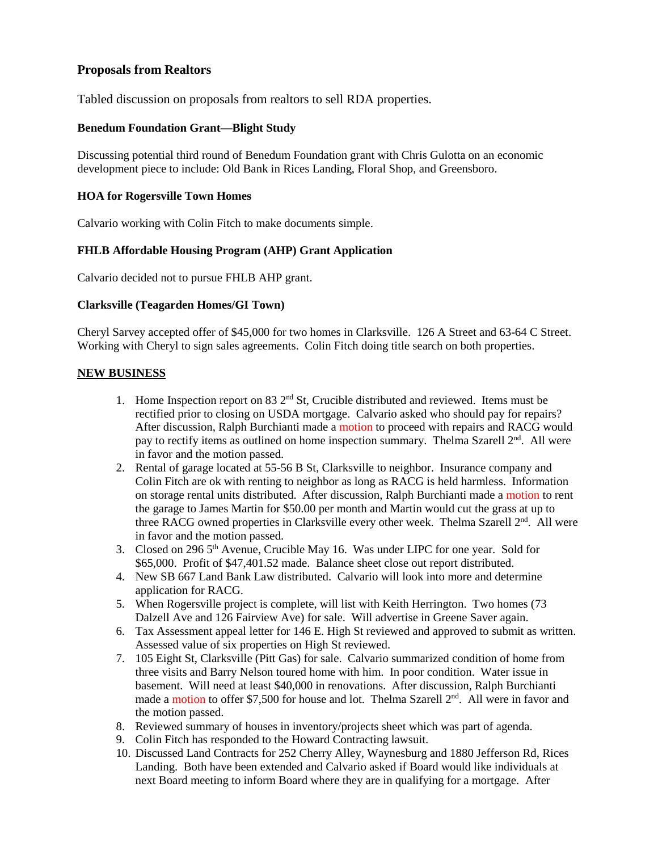## **Proposals from Realtors**

Tabled discussion on proposals from realtors to sell RDA properties.

#### **Benedum Foundation Grant—Blight Study**

Discussing potential third round of Benedum Foundation grant with Chris Gulotta on an economic development piece to include: Old Bank in Rices Landing, Floral Shop, and Greensboro.

#### **HOA for Rogersville Town Homes**

Calvario working with Colin Fitch to make documents simple.

## **FHLB Affordable Housing Program (AHP) Grant Application**

Calvario decided not to pursue FHLB AHP grant.

#### **Clarksville (Teagarden Homes/GI Town)**

Cheryl Sarvey accepted offer of \$45,000 for two homes in Clarksville. 126 A Street and 63-64 C Street. Working with Cheryl to sign sales agreements. Colin Fitch doing title search on both properties.

#### **NEW BUSINESS**

- 1. Home Inspection report on 83  $2<sup>nd</sup>$  St, Crucible distributed and reviewed. Items must be rectified prior to closing on USDA mortgage. Calvario asked who should pay for repairs? After discussion, Ralph Burchianti made a motion to proceed with repairs and RACG would pay to rectify items as outlined on home inspection summary. Thelma Szarell  $2<sup>nd</sup>$ . All were in favor and the motion passed.
- 2. Rental of garage located at 55-56 B St, Clarksville to neighbor. Insurance company and Colin Fitch are ok with renting to neighbor as long as RACG is held harmless. Information on storage rental units distributed. After discussion, Ralph Burchianti made a motion to rent the garage to James Martin for \$50.00 per month and Martin would cut the grass at up to three RACG owned properties in Clarksville every other week. Thelma Szarell  $2<sup>nd</sup>$ . All were in favor and the motion passed.
- 3. Closed on 296 5th Avenue, Crucible May 16. Was under LIPC for one year. Sold for \$65,000. Profit of \$47,401.52 made. Balance sheet close out report distributed.
- 4. New SB 667 Land Bank Law distributed. Calvario will look into more and determine application for RACG.
- 5. When Rogersville project is complete, will list with Keith Herrington. Two homes (73 Dalzell Ave and 126 Fairview Ave) for sale. Will advertise in Greene Saver again.
- 6. Tax Assessment appeal letter for 146 E. High St reviewed and approved to submit as written. Assessed value of six properties on High St reviewed.
- 7. 105 Eight St, Clarksville (Pitt Gas) for sale. Calvario summarized condition of home from three visits and Barry Nelson toured home with him. In poor condition. Water issue in basement. Will need at least \$40,000 in renovations. After discussion, Ralph Burchianti made a motion to offer \$7,500 for house and lot. Thelma Szarell  $2<sup>nd</sup>$ . All were in favor and the motion passed.
- 8. Reviewed summary of houses in inventory/projects sheet which was part of agenda.
- 9. Colin Fitch has responded to the Howard Contracting lawsuit.
- 10. Discussed Land Contracts for 252 Cherry Alley, Waynesburg and 1880 Jefferson Rd, Rices Landing. Both have been extended and Calvario asked if Board would like individuals at next Board meeting to inform Board where they are in qualifying for a mortgage. After